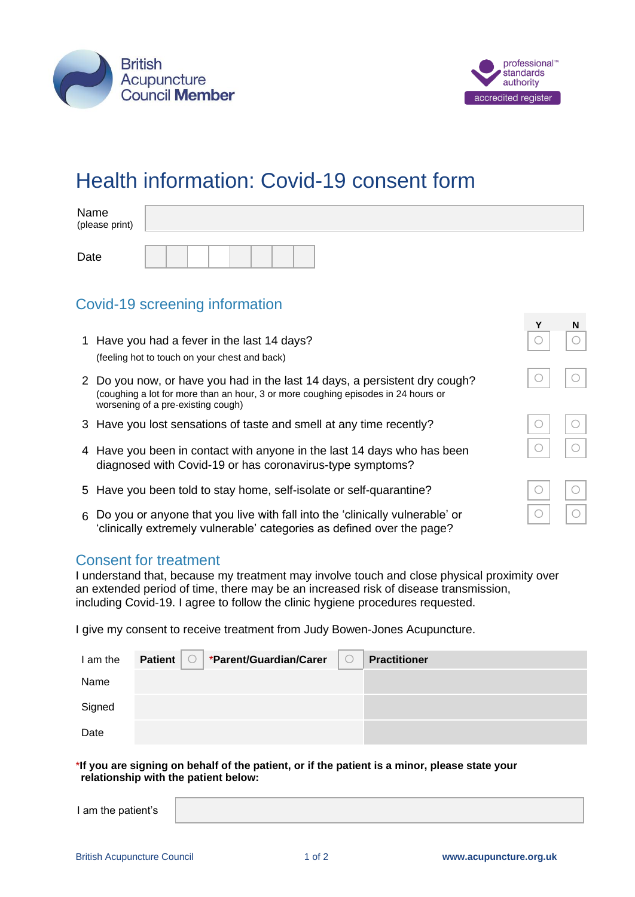

Date



# Health information: Covid-19 consent form

| Name<br>(please print) |  |
|------------------------|--|
|                        |  |

## Covid-19 screening information

|                                                                                                                                                                                                       | N |
|-------------------------------------------------------------------------------------------------------------------------------------------------------------------------------------------------------|---|
| 1 Have you had a fever in the last 14 days?<br>(feeling hot to touch on your chest and back)                                                                                                          |   |
| 2 Do you now, or have you had in the last 14 days, a persistent dry cough?<br>(coughing a lot for more than an hour, 3 or more coughing episodes in 24 hours or<br>worsening of a pre-existing cough) |   |
| 3 Have you lost sensations of taste and smell at any time recently?                                                                                                                                   |   |
| 4 Have you been in contact with anyone in the last 14 days who has been<br>diagnosed with Covid-19 or has coronavirus-type symptoms?                                                                  |   |
| 5 Have you been told to stay home, self-isolate or self-quarantine?                                                                                                                                   |   |
| 6 Do you or anyone that you live with fall into the 'clinically vulnerable' or<br>'clinically extremely vulnerable' categories as defined over the page?                                              |   |

## Consent for treatment

I understand that, because my treatment may involve touch and close physical proximity over an extended period of time, there may be an increased risk of disease transmission, including Covid-19. I agree to follow the clinic hygiene procedures requested.

I give my consent to receive treatment from Judy Bowen-Jones Acupuncture.

| I am the | Patient | *Parent/Guardian/Carer | <b>Practitioner</b> |
|----------|---------|------------------------|---------------------|
| Name     |         |                        |                     |
| Signed   |         |                        |                     |
| Date     |         |                        |                     |

\***If you are signing on behalf of the patient, or if the patient is a minor, please state your relationship with the patient below:**

| I am the patient's |  |
|--------------------|--|
|                    |  |